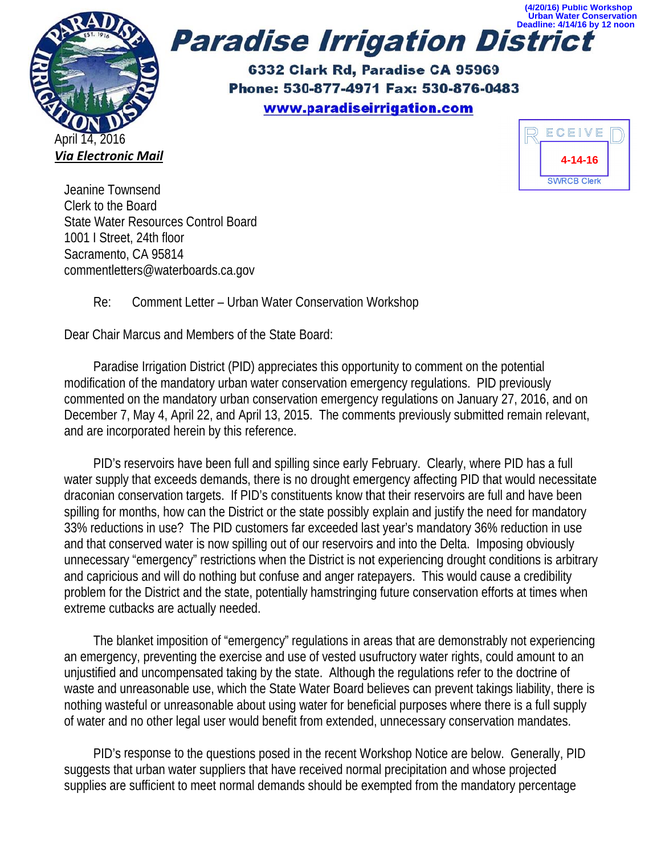

Deadline: 4/14/16 by 12 noon **Paradise Irrigation District** 

> 6332 Clark Rd, Paradise CA 95969 Phone: 530-877-4971 Fax: 530-876-0483 www.paradiseirrigation.com



**Conservation** 

Jeanine Townsend Clerk to the Board **State Water Resources Control Board** 1001 | Street, 24th floor Sacramento, CA 95814 commentletters@waterboards.ca.gov

#### Re: Comment Letter - Urban Water Conservation Workshop

Dear Chair Marcus and Members of the State Board:

Paradise Irrigation District (PID) appreciates this opportunity to comment on the potential modification of the mandatory urban water conservation emergency regulations. PID previously commented on the mandatory urban conservation emergency regulations on January 27, 2016, and on December 7, May 4, April 22, and April 13, 2015. The comments previously submitted remain relevant, and are incorporated herein by this reference.

PID's reservoirs have been full and spilling since early February. Clearly, where PID has a full water supply that exceeds demands, there is no drought emergency affecting PID that would necessitate draconian conservation targets. If PID's constituents know that their reservoirs are full and have been spilling for months, how can the District or the state possibly explain and justify the need for mandatory 33% reductions in use? The PID customers far exceeded last year's mandatory 36% reduction in use and that conserved water is now spilling out of our reservoirs and into the Delta. Imposing obviously unnecessary "emergency" restrictions when the District is not experiencing drought conditions is arbitrary and capricious and will do nothing but confuse and anger ratepayers. This would cause a credibility problem for the District and the state, potentially hamstringing future conservation efforts at times when extreme cutbacks are actually needed.

The blanket imposition of "emergency" regulations in areas that are demonstrably not experiencing an emergency, preventing the exercise and use of vested usufructory water rights, could amount to an unjustified and uncompensated taking by the state. Although the regulations refer to the doctrine of waste and unreasonable use, which the State Water Board believes can prevent takings liability, there is nothing wasteful or unreasonable about using water for beneficial purposes where there is a full supply of water and no other legal user would benefit from extended, unnecessary conservation mandates.

PID's response to the questions posed in the recent Workshop Notice are below. Generally, PID suggests that urban water suppliers that have received normal precipitation and whose projected supplies are sufficient to meet normal demands should be exempted from the mandatory percentage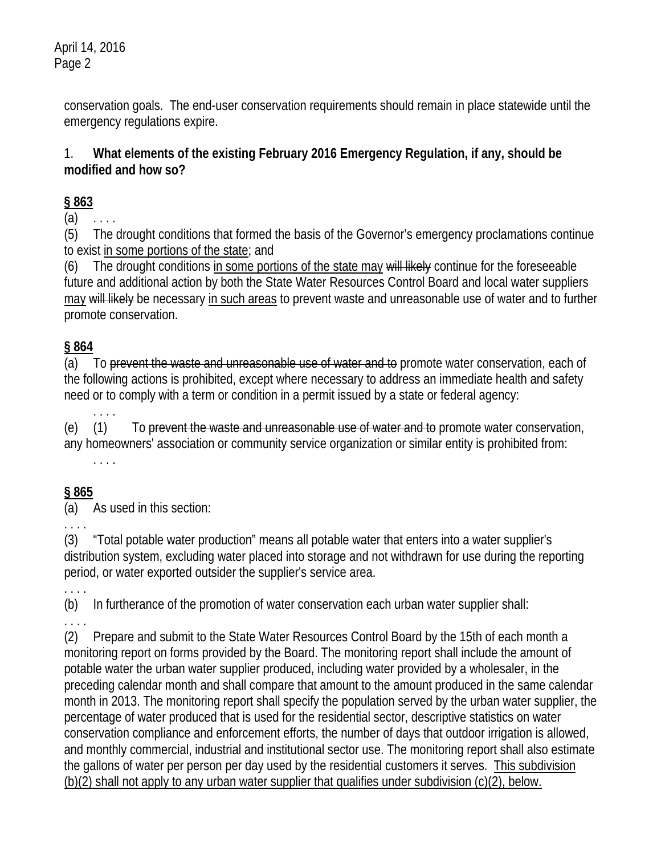April 14, 2016 Page 2

> conservation goals. The end-user conservation requirements should remain in place statewide until the emergency regulations expire.

## 1. **What elements of the existing February 2016 Emergency Regulation, if any, should be modified and how so?**

# **§ 863**

 $(a)$ 

(5) The drought conditions that formed the basis of the Governor's emergency proclamations continue to exist in some portions of the state; and

(6) The drought conditions in some portions of the state may will likely continue for the foreseeable future and additional action by both the State Water Resources Control Board and local water suppliers may will likely be necessary in such areas to prevent waste and unreasonable use of water and to further promote conservation.

# **§ 864**

(a) To prevent the waste and unreasonable use of water and to promote water conservation, each of the following actions is prohibited, except where necessary to address an immediate health and safety need or to comply with a term or condition in a permit issued by a state or federal agency:

 . . . . (e) (1) To prevent the waste and unreasonable use of water and to promote water conservation, any homeowners' association or community service organization or similar entity is prohibited from: . . . .

# **§ 865**

(a) As used in this section:

. . . .

(3) "Total potable water production" means all potable water that enters into a water supplier's distribution system, excluding water placed into storage and not withdrawn for use during the reporting period, or water exported outsider the supplier's service area.

. . . . (b) In furtherance of the promotion of water conservation each urban water supplier shall: . . . .

(2) Prepare and submit to the State Water Resources Control Board by the 15th of each month a monitoring report on forms provided by the Board. The monitoring report shall include the amount of potable water the urban water supplier produced, including water provided by a wholesaler, in the preceding calendar month and shall compare that amount to the amount produced in the same calendar month in 2013. The monitoring report shall specify the population served by the urban water supplier, the percentage of water produced that is used for the residential sector, descriptive statistics on water conservation compliance and enforcement efforts, the number of days that outdoor irrigation is allowed, and monthly commercial, industrial and institutional sector use. The monitoring report shall also estimate the gallons of water per person per day used by the residential customers it serves. This subdivision (b)(2) shall not apply to any urban water supplier that qualifies under subdivision (c)(2), below.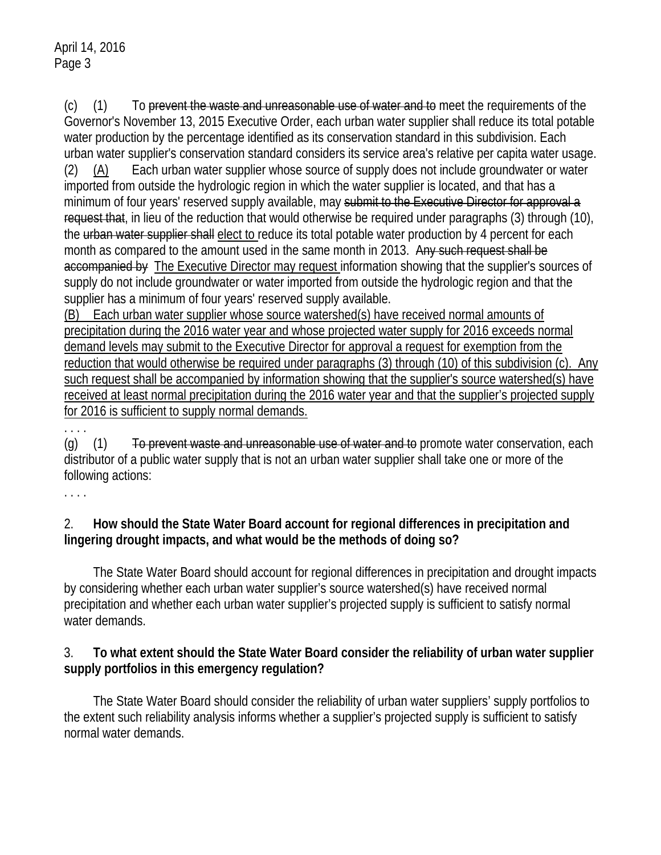(c) (1) To prevent the waste and unreasonable use of water and to meet the requirements of the Governor's November 13, 2015 Executive Order, each urban water supplier shall reduce its total potable water production by the percentage identified as its conservation standard in this subdivision. Each urban water supplier's conservation standard considers its service area's relative per capita water usage. (2) (A) Each urban water supplier whose source of supply does not include groundwater or water imported from outside the hydrologic region in which the water supplier is located, and that has a minimum of four years' reserved supply available, may submit to the Executive Director for approval a request that, in lieu of the reduction that would otherwise be required under paragraphs (3) through (10), the urban water supplier shall elect to reduce its total potable water production by 4 percent for each month as compared to the amount used in the same month in 2013. Any such request shall be accompanied by The Executive Director may request information showing that the supplier's sources of supply do not include groundwater or water imported from outside the hydrologic region and that the supplier has a minimum of four years' reserved supply available.

(B) Each urban water supplier whose source watershed(s) have received normal amounts of precipitation during the 2016 water year and whose projected water supply for 2016 exceeds normal demand levels may submit to the Executive Director for approval a request for exemption from the reduction that would otherwise be required under paragraphs (3) through (10) of this subdivision (c). Any such request shall be accompanied by information showing that the supplier's source watershed(s) have received at least normal precipitation during the 2016 water year and that the supplier's projected supply for 2016 is sufficient to supply normal demands.

 $(q)$   $(1)$  To prevent waste and unreasonable use of water and to promote water conservation, each distributor of a public water supply that is not an urban water supplier shall take one or more of the following actions:

. . . .

. . . .

## 2. **How should the State Water Board account for regional differences in precipitation and lingering drought impacts, and what would be the methods of doing so?**

 The State Water Board should account for regional differences in precipitation and drought impacts by considering whether each urban water supplier's source watershed(s) have received normal precipitation and whether each urban water supplier's projected supply is sufficient to satisfy normal water demands.

#### 3. **To what extent should the State Water Board consider the reliability of urban water supplier supply portfolios in this emergency regulation?**

 The State Water Board should consider the reliability of urban water suppliers' supply portfolios to the extent such reliability analysis informs whether a supplier's projected supply is sufficient to satisfy normal water demands.